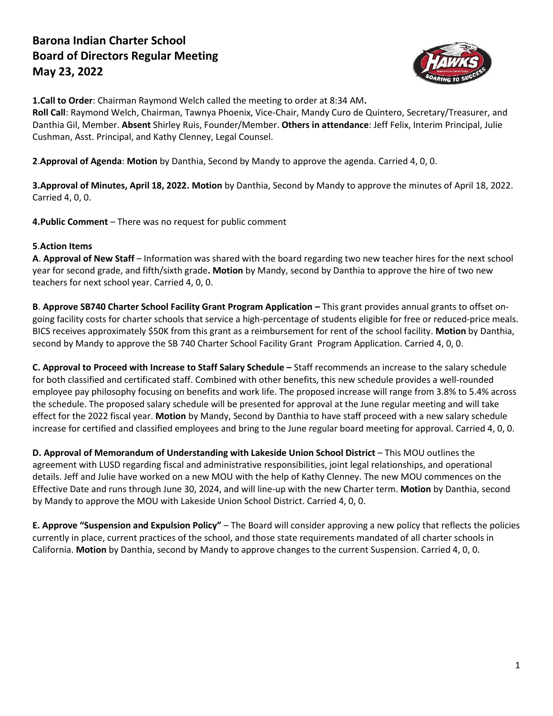## **Barona Indian Charter School Board of Directors Regular Meeting May 23, 2022**



**1.Call to Order**: Chairman Raymond Welch called the meeting to order at 8:34 AM**.**

**Roll Call**: Raymond Welch, Chairman, Tawnya Phoenix, Vice-Chair, Mandy Curo de Quintero, Secretary/Treasurer, and Danthia Gil, Member. **Absent** Shirley Ruis, Founder/Member. **Others in attendance**: Jeff Felix, Interim Principal, Julie Cushman, Asst. Principal, and Kathy Clenney, Legal Counsel.

**2**.**Approval of Agenda**: **Motion** by Danthia, Second by Mandy to approve the agenda. Carried 4, 0, 0.

**3.Approval of Minutes, April 18, 2022. Motion** by Danthia, Second by Mandy to approve the minutes of April 18, 2022. Carried 4, 0, 0.

**4.Public Comment** – There was no request for public comment

## **5**.**Action Items**

**A**. **Approval of New Staff** – Information was shared with the board regarding two new teacher hires for the next school year for second grade, and fifth/sixth grade**. Motion** by Mandy, second by Danthia to approve the hire of two new teachers for next school year. Carried 4, 0, 0.

**B**. **Approve SB740 Charter School Facility Grant Program Application –** This grant provides annual grants to offset ongoing facility costs for charter schools that service a high-percentage of students eligible for free or reduced-price meals. BICS receives approximately \$50K from this grant as a reimbursement for rent of the school facility. **Motion** by Danthia, second by Mandy to approve the SB 740 Charter School Facility Grant Program Application. Carried 4, 0, 0.

**C. Approval to Proceed with Increase to Staff Salary Schedule –** Staff recommends an increase to the salary schedule for both classified and certificated staff. Combined with other benefits, this new schedule provides a well-rounded employee pay philosophy focusing on benefits and work life. The proposed increase will range from 3.8% to 5.4% across the schedule. The proposed salary schedule will be presented for approval at the June regular meeting and will take effect for the 2022 fiscal year. **Motion** by Mandy, Second by Danthia to have staff proceed with a new salary schedule increase for certified and classified employees and bring to the June regular board meeting for approval. Carried 4, 0, 0.

**D. Approval of Memorandum of Understanding with Lakeside Union School District** – This MOU outlines the agreement with LUSD regarding fiscal and administrative responsibilities, joint legal relationships, and operational details. Jeff and Julie have worked on a new MOU with the help of Kathy Clenney. The new MOU commences on the Effective Date and runs through June 30, 2024, and will line-up with the new Charter term. **Motion** by Danthia, second by Mandy to approve the MOU with Lakeside Union School District. Carried 4, 0, 0.

**E. Approve "Suspension and Expulsion Policy"** – The Board will consider approving a new policy that reflects the policies currently in place, current practices of the school, and those state requirements mandated of all charter schools in California. **Motion** by Danthia, second by Mandy to approve changes to the current Suspension. Carried 4, 0, 0.